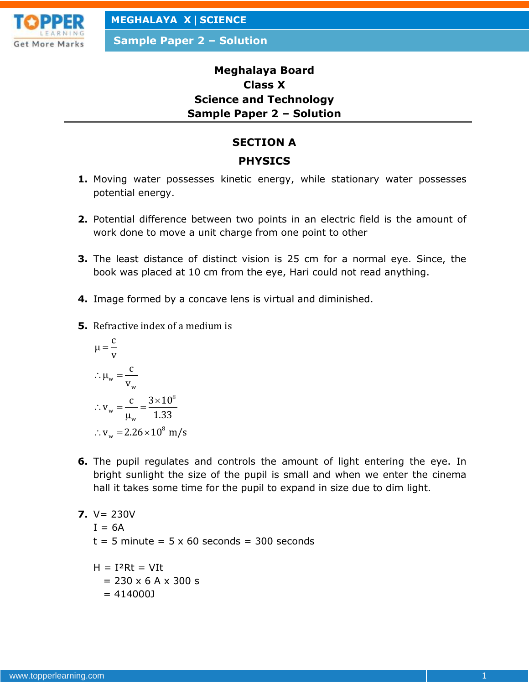

**Sample Paper 2 – Solution**

# **Meghalaya Board Class X Science and Technology Sample Paper 2 – Solution**

## **SECTION A**

# **PHYSICS**

- **1.** Moving water possesses kinetic energy, while stationary water possesses potential energy.
- **2.** Potential difference between two points in an electric field is the amount of work done to move a unit charge from one point to other
- **3.** The least distance of distinct vision is 25 cm for a normal eye. Since, the book was placed at 10 cm from the eye, Hari could not read anything.
- **4.** Image formed by a concave lens is virtual and diminished.
- **5.** Refractive index of a medium is

$$
\mu = \frac{c}{v}
$$
  
\n
$$
\therefore \mu_{w} = \frac{c}{v_{w}}
$$
  
\n
$$
\therefore v_{w} = \frac{c}{\mu_{w}} = \frac{3 \times 10^{8}}{1.33}
$$
  
\n
$$
\therefore v_{w} = 2.26 \times 10^{8} \text{ m/s}
$$

**6.** The pupil regulates and controls the amount of light entering the eye. In bright sunlight the size of the pupil is small and when we enter the cinema hall it takes some time for the pupil to expand in size due to dim light.

7. 
$$
V = 230V
$$

\nI = 6A

\nt = 5 minute = 5 x 60 seconds = 300 seconds

$$
H = I2Rt = VIt
$$
  
= 230 x 6 A x 300 s  
= 414000J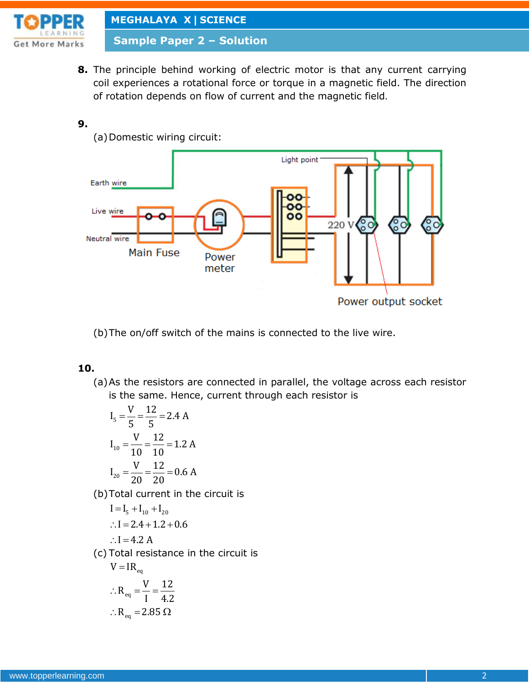

**Sample Paper 2 – Solution**

**8.** The principle behind working of electric motor is that any current carrying coil experiences a rotational force or torque in a magnetic field. The direction of rotation depends on flow of current and the magnetic field.

## **9.**

(a)Domestic wiring circuit:



(b)The on/off switch of the mains is connected to the live wire.

# **10.**

(a)As the resistors are connected in parallel, the voltage across each resistor is the same. Hence, current through each resistor is

$$
I_5 = \frac{V}{5} = \frac{12}{5} = 2.4 A
$$
  
\n
$$
I_{10} = \frac{V}{10} = \frac{12}{10} = 1.2 A
$$
  
\n
$$
I_{20} = \frac{V}{20} = \frac{12}{20} = 0.6 A
$$

(b)Total current in the circuit is

$$
I = I_5 + I_{10} + I_{20}
$$
  
:. I = 2.4 + 1.2 + 0.6

$$
\therefore I = 4.2 A
$$

(c) Total resistance in the circuit is

$$
V = IR_{eq}
$$
  

$$
\therefore R_{eq} = \frac{V}{I} = \frac{12}{4.2}
$$

$$
\therefore R_{eq} = \frac{1}{I} = \frac{4.2}{4.2}
$$
  

$$
\therefore R_{eq} = 2.85 \Omega
$$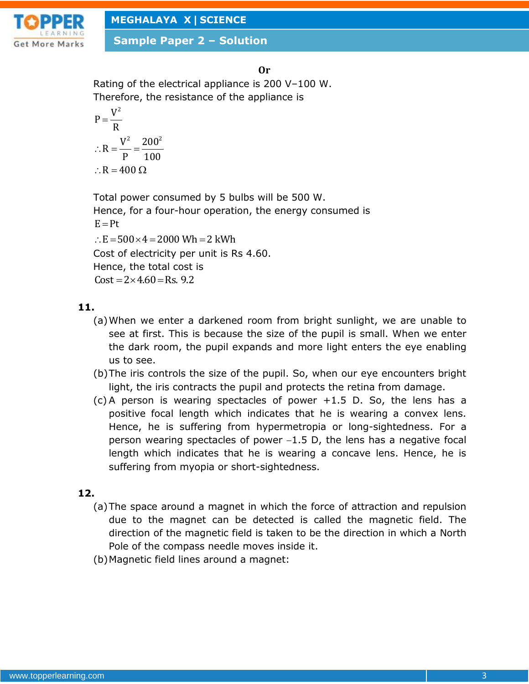

**Sample Paper 2 – Solution**

**Or**

Rating of the electrical appliance is 200 V–100 W. Therefore, the resistance of the appliance is

$$
P = \frac{V^2}{R}
$$
  
\n
$$
\therefore R = \frac{V^2}{P} = \frac{200^2}{100}
$$
  
\n
$$
\therefore R = 400 \Omega
$$

Total power consumed by 5 bulbs will be 500 W. Hence, for a four-hour operation, the energy consumed is Hence<br>E = P<mark>t</mark>

 $E = Pt$ <br>  $\therefore E = 500 \times 4 = 2000$  Wh = 2 kWh

Cost of electricity per unit is Rs 4.60.

Hence, the total cost is

 $Cost = 2 \times 4.60 = Rs. 9.2$ 

# **11.**

- (a)When we enter a darkened room from bright sunlight, we are unable to see at first. This is because the size of the pupil is small. When we enter the dark room, the pupil expands and more light enters the eye enabling us to see.
- (b)The iris controls the size of the pupil. So, when our eye encounters bright light, the iris contracts the pupil and protects the retina from damage.
- (c) A person is wearing spectacles of power +1.5 D. So, the lens has a positive focal length which indicates that he is wearing a convex lens. Hence, he is suffering from hypermetropia or long-sightedness. For a person wearing spectacles of power  $-1.5$  D, the lens has a negative focal length which indicates that he is wearing a concave lens. Hence, he is suffering from myopia or short-sightedness.

# **12.**

- (a)The space around a magnet in which the force of attraction and repulsion due to the magnet can be detected is called the magnetic field. The direction of the magnetic field is taken to be the direction in which a North Pole of the compass needle moves inside it.
- (b)Magnetic field lines around a magnet: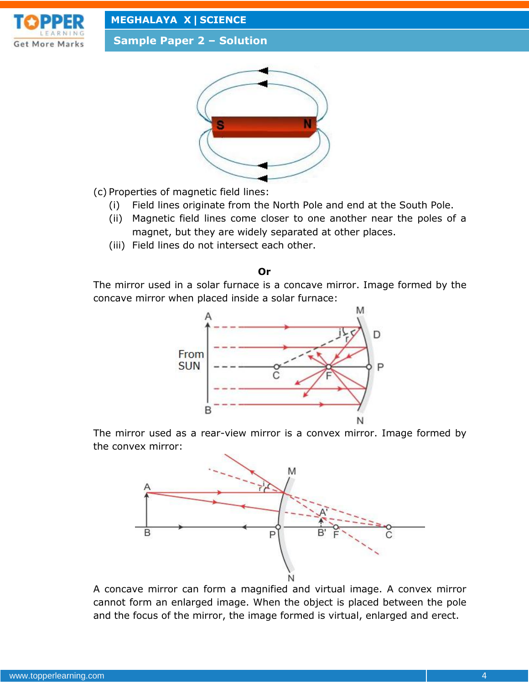



**Sample Paper 2 – Solution**



(c) Properties of magnetic field lines:

- (i) Field lines originate from the North Pole and end at the South Pole.
- (ii) Magnetic field lines come closer to one another near the poles of a magnet, but they are widely separated at other places.
- (iii) Field lines do not intersect each other.

#### **Or**

The mirror used in a solar furnace is a concave mirror. Image formed by the concave mirror when placed inside a solar furnace:



The mirror used as a rear-view mirror is a convex mirror. Image formed by the convex mirror:



A concave mirror can form a magnified and virtual image. A convex mirror cannot form an enlarged image. When the object is placed between the pole and the focus of the mirror, the image formed is virtual, enlarged and erect.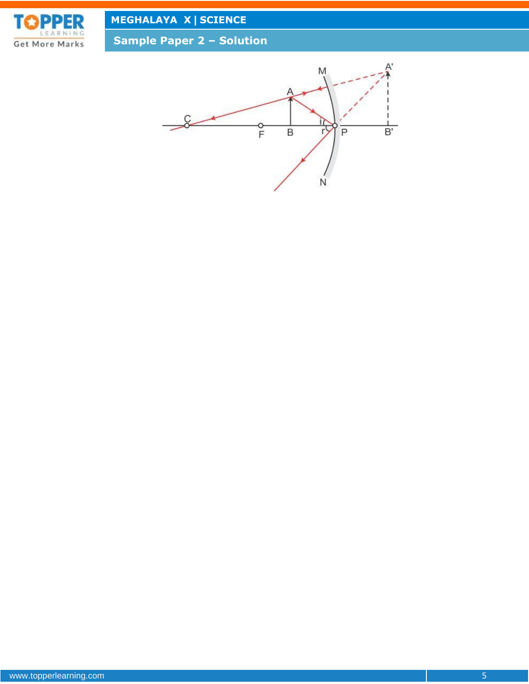

**Sample Paper 2 – Solution**

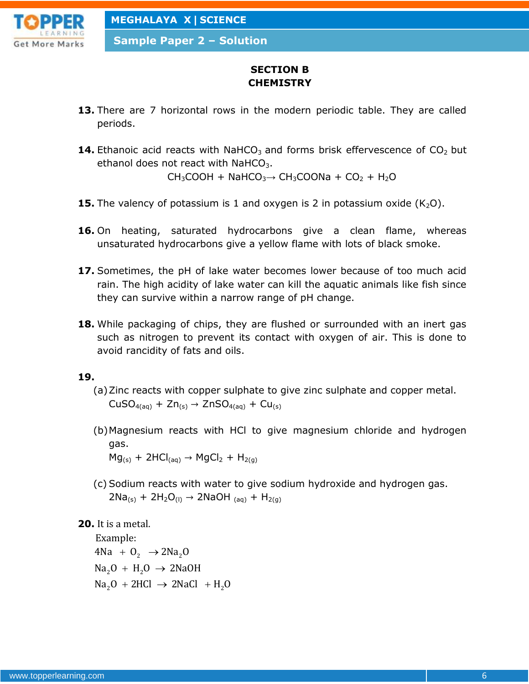

**Sample Paper 2 – Solution**

# **SECTION B CHEMISTRY**

- **13.** There are 7 horizontal rows in the modern periodic table. They are called periods.
- **14.** Ethanoic acid reacts with NaHCO<sub>3</sub> and forms brisk effervescence of  $CO<sub>2</sub>$  but ethanol does not react with NaHCO<sub>3</sub>.

 $CH<sub>3</sub>COOH + NaHCO<sub>3</sub> \rightarrow CH<sub>3</sub>COONa + CO<sub>2</sub> + H<sub>2</sub>O$ 

- **15.** The valency of potassium is 1 and oxygen is 2 in potassium oxide  $(K_2O)$ .
- **16.** On heating, saturated hydrocarbons give a clean flame, whereas unsaturated hydrocarbons give a yellow flame with lots of black smoke.
- **17.** Sometimes, the pH of lake water becomes lower because of too much acid rain. The high acidity of lake water can kill the aquatic animals like fish since they can survive within a narrow range of pH change.
- **18.** While packaging of chips, they are flushed or surrounded with an inert gas such as nitrogen to prevent its contact with oxygen of air. This is done to avoid rancidity of fats and oils.

#### **19.**

- (a)Zinc reacts with copper sulphate to give zinc sulphate and copper metal.  $CuSO<sub>4(aq)</sub> + Zn<sub>(s)</sub> \rightarrow ZnSO<sub>4(aq)</sub> + Cu<sub>(s)</sub>$
- (b)Magnesium reacts with HCl to give magnesium chloride and hydrogen gas.

 $Mg_{(s)} + 2HCl_{(aa)} \rightarrow MgCl_2 + H_{2(a)}$ 

(c) Sodium reacts with water to give sodium hydroxide and hydrogen gas.  $2Na_{(s)}$  + 2H<sub>2</sub>O<sub>(l)</sub> → 2NaOH <sub>(aq)</sub> + H<sub>2(g)</sub>

### **20.** It is a metal.

Example: Example:<br>4Na + O<sub>2</sub>  $\rightarrow$  2Na<sub>2</sub>O  $\text{Na}_2\text{O} + \text{H}_2\text{O} \rightarrow 2\text{Na}_2\text{O}$ <br>Na<sub>2</sub>O + H<sub>2</sub>O  $\rightarrow$  2NaOH  $Na_2O + n_2O \rightarrow 2NaOH$ <br> $Na_2O + 2HCl \rightarrow 2NaCl + H_2O$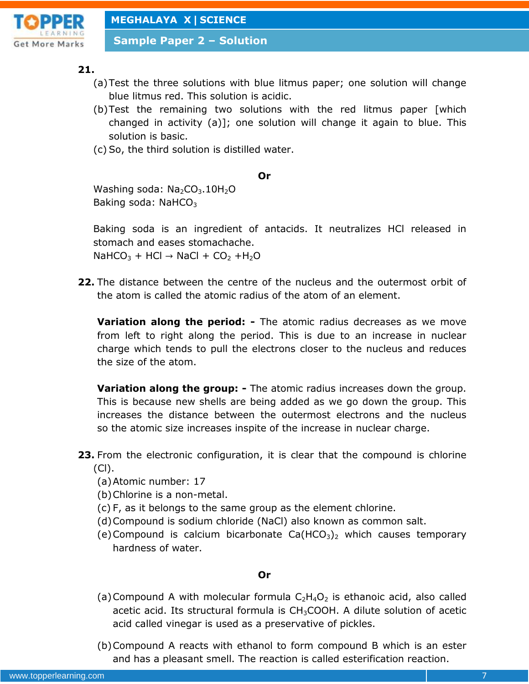

**Sample Paper 2 – Solution**

### **21.**

- (a)Test the three solutions with blue litmus paper; one solution will change blue litmus red. This solution is acidic.
- (b)Test the remaining two solutions with the red litmus paper [which changed in activity (a)]; one solution will change it again to blue. This solution is basic.
- (c) So, the third solution is distilled water.

### **Or**

Washing soda: Na<sub>2</sub>CO<sub>3</sub>.10H<sub>2</sub>O Baking soda:  $N$ aHCO<sub>3</sub>

Baking soda is an ingredient of antacids. It neutralizes HCl released in stomach and eases stomachache.  $NahCO<sub>3</sub> + HCl \rightarrow NaCl + CO<sub>2</sub> +H<sub>2</sub>O$ 

**22.** The distance between the centre of the nucleus and the outermost orbit of the atom is called the atomic radius of the atom of an element.

**Variation along the period: -** The atomic radius decreases as we move from left to right along the period. This is due to an increase in nuclear charge which tends to pull the electrons closer to the nucleus and reduces the size of the atom.

**Variation along the group: -** The atomic radius increases down the group. This is because new shells are being added as we go down the group. This increases the distance between the outermost electrons and the nucleus so the atomic size increases inspite of the increase in nuclear charge.

**23.** From the electronic configuration, it is clear that the compound is chlorine (Cl).

- (a)Atomic number: 17
- (b)Chlorine is a non-metal.
- (c) F, as it belongs to the same group as the element chlorine.
- (d)Compound is sodium chloride (NaCl) also known as common salt.
- (e) Compound is calcium bicarbonate  $Ca(HCO<sub>3</sub>)<sub>2</sub>$  which causes temporary hardness of water.

### **Or**

- (a) Compound A with molecular formula  $C_2H_4O_2$  is ethanoic acid, also called acetic acid. Its structural formula is  $CH<sub>3</sub>COOH$ . A dilute solution of acetic acid called vinegar is used as a preservative of pickles.
- (b)Compound A reacts with ethanol to form compound B which is an ester and has a pleasant smell. The reaction is called esterification reaction.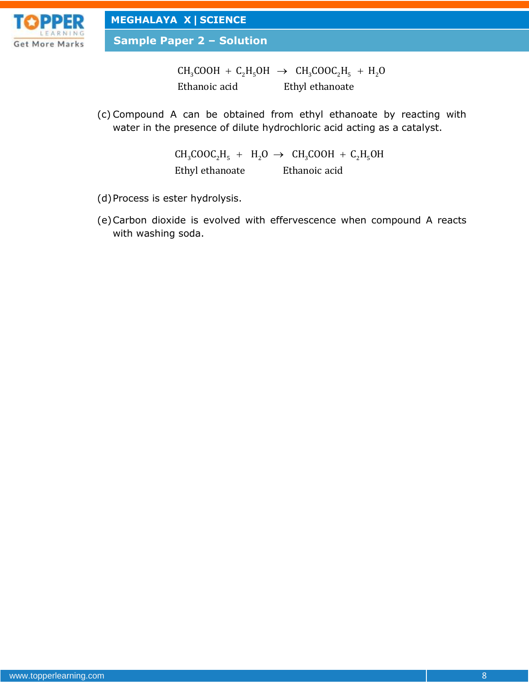

**Sample Paper 2 – Solution**

 $CH_3COOH + C_2H_5OH \rightarrow CH_3COOC_2H_5 + H_2O$  $CH_3COOH + C_2H_5OH \rightarrow CH_3COOC_2H_5$ <br>Ethanoic acid Ethyl ethanoate

(c) Compound A can be obtained from ethyl ethanoate by reacting with water in the presence of dilute hydrochloric acid acting as a catalyst.

presence of diffuse hydrochloric acid acting a<br>CH<sub>3</sub>COOC<sub>2</sub>H<sub>5</sub> + H<sub>2</sub>O  $\rightarrow$  CH<sub>3</sub>COOH + C<sub>2</sub>H<sub>5</sub>OH  $CH_3COOC_2H_5 + H_2O \rightarrow CH_3COOH +$ <br>Ethyl ethanoate Ethanoic acid

- (d)Process is ester hydrolysis.
- (e)Carbon dioxide is evolved with effervescence when compound A reacts with washing soda.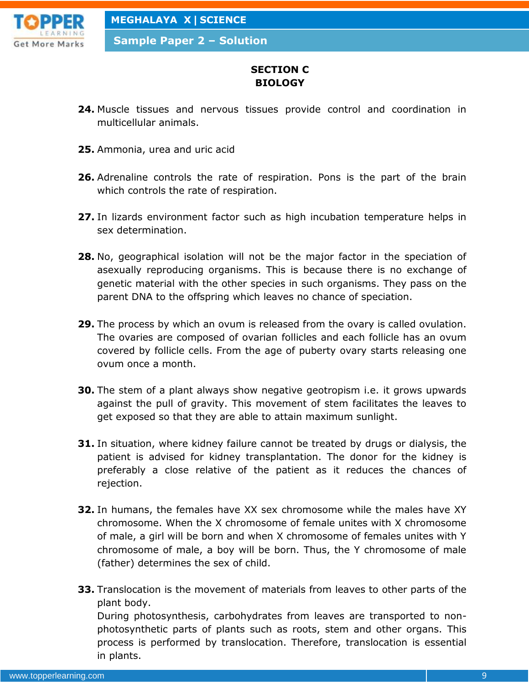

**Sample Paper 2 – Solution**

# **SECTION C BIOLOGY**

- **24.** Muscle tissues and nervous tissues provide control and coordination in multicellular animals.
- **25.** Ammonia, urea and uric acid
- **26.** Adrenaline controls the rate of respiration. Pons is the part of the brain which controls the rate of respiration.
- **27.** In lizards environment factor such as high incubation temperature helps in sex determination.
- **28.** No, geographical isolation will not be the major factor in the speciation of asexually reproducing organisms. This is because there is no exchange of genetic material with the other species in such organisms. They pass on the parent DNA to the offspring which leaves no chance of speciation.
- **29.** The process by which an ovum is released from the ovary is called ovulation. The ovaries are composed of ovarian follicles and each follicle has an ovum covered by follicle cells. From the age of puberty ovary starts releasing one ovum once a month.
- **30.** The stem of a plant always show negative geotropism i.e. it grows upwards against the pull of gravity. This movement of stem facilitates the leaves to get exposed so that they are able to attain maximum sunlight.
- **31.** In situation, where kidney failure cannot be treated by drugs or dialysis, the patient is advised for kidney transplantation. The donor for the kidney is preferably a close relative of the patient as it reduces the chances of rejection.
- **32.** In humans, the females have XX sex chromosome while the males have XY chromosome. When the X chromosome of female unites with X chromosome of male, a girl will be born and when X chromosome of females unites with Y chromosome of male, a boy will be born. Thus, the Y chromosome of male (father) determines the sex of child.
- **33.** Translocation is the movement of materials from leaves to other parts of the plant body.

During photosynthesis, carbohydrates from leaves are transported to nonphotosynthetic parts of plants such as roots, stem and other organs. This process is performed by translocation. Therefore, translocation is essential in plants.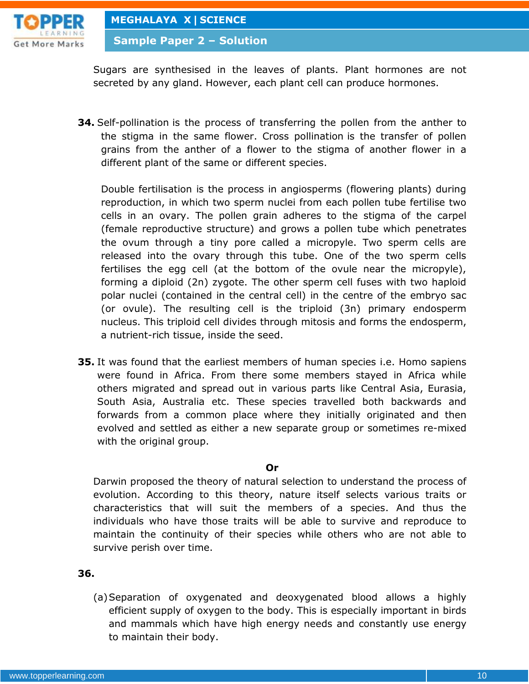

**Sample Paper 2 – Solution**

Sugars are synthesised in the leaves of plants. Plant hormones are not secreted by any gland. However, each plant cell can produce hormones.

**34.** Self-pollination is the process of transferring the pollen from the anther to the stigma in the same flower. Cross pollination is the transfer of pollen grains from the anther of a flower to the stigma of another flower in a different plant of the same or different species.

Double fertilisation is the process in angiosperms (flowering plants) during reproduction, in which two sperm nuclei from each pollen tube fertilise two cells in an ovary. The pollen grain adheres to the stigma of the carpel (female reproductive structure) and grows a pollen tube which penetrates the ovum through a tiny pore called a micropyle. Two sperm cells are released into the ovary through this tube. One of the two sperm cells fertilises the egg cell (at the bottom of the ovule near the micropyle), forming a diploid (2n) zygote. The other sperm cell fuses with two haploid polar nuclei (contained in the central cell) in the centre of the embryo sac (or ovule). The resulting cell is the triploid (3n) primary endosperm nucleus. This triploid cell divides through mitosis and forms the endosperm, a nutrient-rich tissue, inside the seed.

**35.** It was found that the earliest members of human species i.e. Homo sapiens were found in Africa. From there some members stayed in Africa while others migrated and spread out in various parts like Central Asia, Eurasia, South Asia, Australia etc. These species travelled both backwards and forwards from a common place where they initially originated and then evolved and settled as either a new separate group or sometimes re-mixed with the original group.

#### **Or**

Darwin proposed the theory of natural selection to understand the process of evolution. According to this theory, nature itself selects various traits or characteristics that will suit the members of a species. And thus the individuals who have those traits will be able to survive and reproduce to maintain the continuity of their species while others who are not able to survive perish over time.

#### **36.**

(a)Separation of oxygenated and deoxygenated blood allows a highly efficient supply of oxygen to the body. This is especially important in birds and mammals which have high energy needs and constantly use energy to maintain their body.